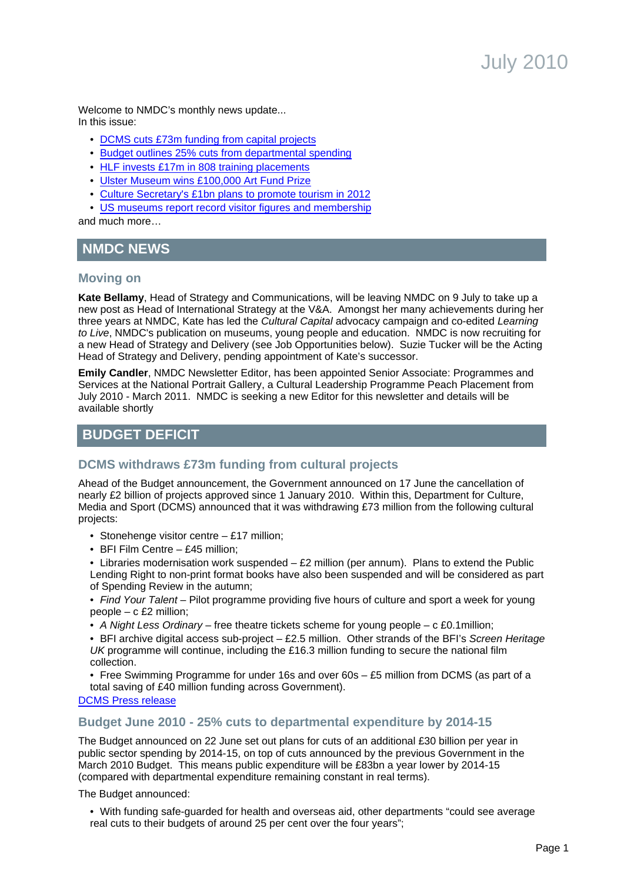Welcome to NMDC's monthly news update... In this issue:

- [DCMS cuts £73m funding from capital projects](#page-0-0)
- [Budget outlines 25% cuts from departmental spending](#page-0-1)
- [HLF invests £17m in 808 training placements](#page-1-0)
- [Ulster Museum wins £100,000 Art Fund Prize](#page-2-0)
- [Culture Secretary's £1bn plans to promote tourism in 2012](#page-4-0)
- [US museums report record visitor figures and membership](#page-8-0)

and much more…

# **NMDC NEWS**

### **Moving on**

**Kate Bellamy**, Head of Strategy and Communications, will be leaving NMDC on 9 July to take up a new post as Head of International Strategy at the V&A. Amongst her many achievements during her three years at NMDC. Kate has led the Cultural Capital advocacy campaign and co-edited Learning to Live, NMDC's publication on museums, young people and education. NMDC is now recruiting for a new Head of Strategy and Delivery (see Job Opportunities below). Suzie Tucker will be the Acting Head of Strategy and Delivery, pending appointment of Kate's successor.

**Emily Candler**, NMDC Newsletter Editor, has been appointed Senior Associate: Programmes and Services at the National Portrait Gallery, a Cultural Leadership Programme Peach Placement from July 2010 - March 2011. NMDC is seeking a new Editor for this newsletter and details will be available shortly

# **BUDGET DEFICIT**

## <span id="page-0-0"></span>**DCMS withdraws £73m funding from cultural projects**

Ahead of the Budget announcement, the Government announced on 17 June the cancellation of nearly £2 billion of projects approved since 1 January 2010. Within this, Department for Culture, Media and Sport (DCMS) announced that it was withdrawing £73 million from the following cultural projects:

- Stonehenge visitor centre £17 million;
- BFI Film Centre £45 million;

• Libraries modernisation work suspended – £2 million (per annum). Plans to extend the Public Lending Right to non-print format books have also been suspended and will be considered as part of Spending Review in the autumn;

• Find Your Talent – Pilot programme providing five hours of culture and sport a week for young people – c £2 million;

• A Night Less Ordinary – free theatre tickets scheme for young people – c £0.1 million;

• BFI archive digital access sub-project – £2.5 million. Other strands of the BFI's Screen Heritage UK programme will continue, including the £16.3 million funding to secure the national film collection.

• Free Swimming Programme for under 16s and over 60s – £5 million from DCMS (as part of a total saving of £40 million funding across Government).

### [DCMS Press release](http://www.culture.gov.uk/news/media_releases/7191.aspx)

### <span id="page-0-1"></span>**Budget June 2010 - 25% cuts to departmental expenditure by 2014-15**

The Budget announced on 22 June set out plans for cuts of an additional £30 billion per year in public sector spending by 2014-15, on top of cuts announced by the previous Government in the March 2010 Budget. This means public expenditure will be £83bn a year lower by 2014-15 (compared with departmental expenditure remaining constant in real terms).

The Budget announced:

• With funding safe-guarded for health and overseas aid, other departments "could see average real cuts to their budgets of around 25 per cent over the four years";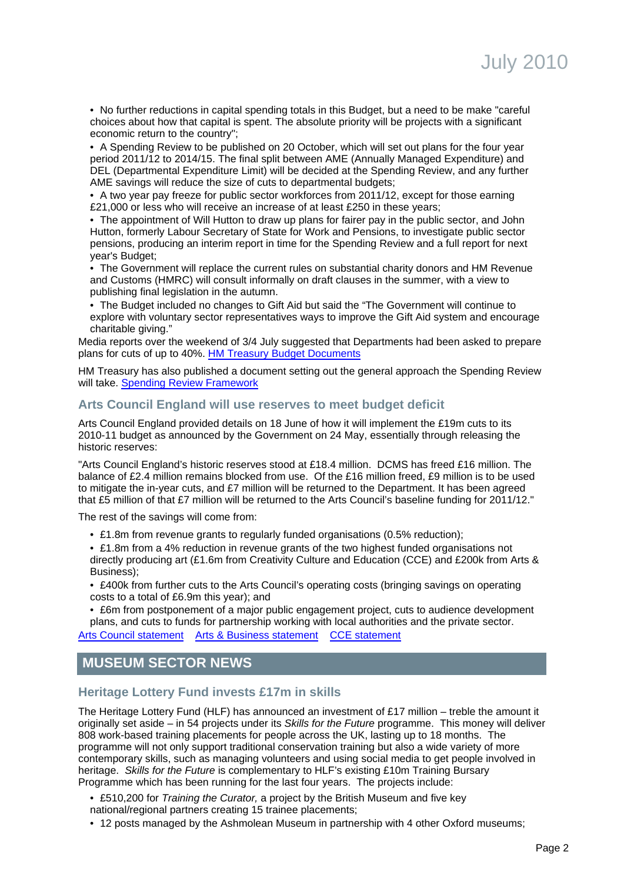• No further reductions in capital spending totals in this Budget, but a need to be make "careful choices about how that capital is spent. The absolute priority will be projects with a significant economic return to the country";

• A Spending Review to be published on 20 October, which will set out plans for the four year period 2011/12 to 2014/15. The final split between AME (Annually Managed Expenditure) and DEL (Departmental Expenditure Limit) will be decided at the Spending Review, and any further AME savings will reduce the size of cuts to departmental budgets;

• A two year pay freeze for public sector workforces from 2011/12, except for those earning £21,000 or less who will receive an increase of at least £250 in these years;

• The appointment of Will Hutton to draw up plans for fairer pay in the public sector, and John Hutton, formerly Labour Secretary of State for Work and Pensions, to investigate public sector pensions, producing an interim report in time for the Spending Review and a full report for next year's Budget;

• The Government will replace the current rules on substantial charity donors and HM Revenue and Customs (HMRC) will consult informally on draft clauses in the summer, with a view to publishing final legislation in the autumn.

• The Budget included no changes to Gift Aid but said the "The Government will continue to explore with voluntary sector representatives ways to improve the Gift Aid system and encourage charitable giving."

Media reports over the weekend of 3/4 July suggested that Departments had been asked to prepare plans for cuts of up to 40%. [HM Treasury Budget Documents](http://www.hm-treasury.gov.uk/2010_june_budget.htm)

HM Treasury has also published a document setting out the general approach the Spending Review will take. [Spending Review Framework](http://www.hm-treasury.gov.uk/d/spending_review_framework_080610.pdf)

### **Arts Council England will use reserves to meet budget deficit**

Arts Council England provided details on 18 June of how it will implement the £19m cuts to its 2010-11 budget as announced by the Government on 24 May, essentially through releasing the historic reserves:

"Arts Council England's historic reserves stood at £18.4 million. DCMS has freed £16 million. The balance of £2.4 million remains blocked from use. Of the £16 million freed, £9 million is to be used to mitigate the in-year cuts, and £7 million will be returned to the Department. It has been agreed that £5 million of that £7 million will be returned to the Arts Council's baseline funding for 2011/12."

The rest of the savings will come from:

- £1.8m from revenue grants to regularly funded organisations (0.5% reduction);
- £1.8m from a 4% reduction in revenue grants of the two highest funded organisations not directly producing art (£1.6m from Creativity Culture and Education (CCE) and £200k from Arts & Business);
- £400k from further cuts to the Arts Council's operating costs (bringing savings on operating costs to a total of £6.9m this year); and

• £6m from postponement of a major public engagement project, cuts to audience development plans, and cuts to funds for partnership working with local authorities and the private sector.

[Arts Council statement](http://press.artscouncil.org.uk/Press-Releases/Arts-Council-England-implements-19-million-cuts-to-2010-11-budget-412.aspx) [Arts & Business statement](http://www.aandb.org.uk/News/2010/june/response-to-ace-announcement.aspx) [CCE statement](http://www.creativitycultureeducation.org/news/arts-council-england-19-million-cuts-reaction-from-creativity-culture-and-education-cce,371,AR.html)

## **MUSEUM SECTOR NEWS**

## <span id="page-1-0"></span>**Heritage Lottery Fund invests £17m in skills**

The Heritage Lottery Fund (HLF) has announced an investment of £17 million – treble the amount it originally set aside – in 54 projects under its Skills for the Future programme. This money will deliver 808 work-based training placements for people across the UK, lasting up to 18 months. The programme will not only support traditional conservation training but also a wide variety of more contemporary skills, such as managing volunteers and using social media to get people involved in heritage. Skills for the Future is complementary to HLF's existing £10m Training Bursary Programme which has been running for the last four years. The projects include:

- £510,200 for Training the Curator, a project by the British Museum and five key
- national/regional partners creating 15 trainee placements;
- 12 posts managed by the Ashmolean Museum in partnership with 4 other Oxford museums;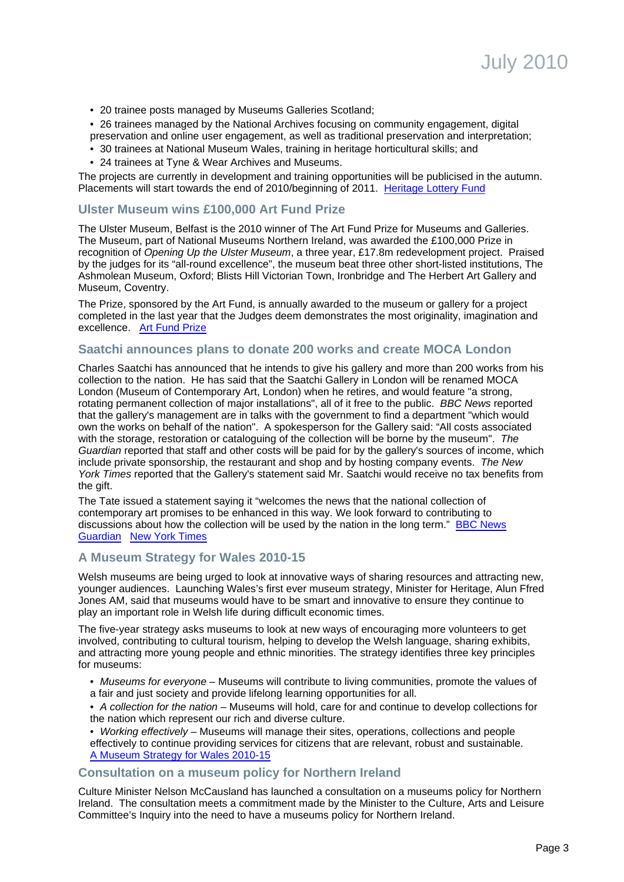- 20 trainee posts managed by Museums Galleries Scotland;
- 26 trainees managed by the National Archives focusing on community engagement, digital preservation and online user engagement, as well as traditional preservation and interpretation;
- 30 trainees at National Museum Wales, training in heritage horticultural skills; and
- 24 trainees at Tyne & Wear Archives and Museums.

The projects are currently in development and training opportunities will be publicised in the autumn. Placements will start towards the end of 2010/beginning of 2011. [Heritage Lottery Fund](http://www.hlf.org.uk/news/Pages/Skillsforfuture.aspx)

### <span id="page-2-0"></span>**Ulster Museum wins £100,000 Art Fund Prize**

The Ulster Museum, Belfast is the 2010 winner of The Art Fund Prize for Museums and Galleries. The Museum, part of National Museums Northern Ireland, was awarded the £100,000 Prize in recognition of Opening Up the Ulster Museum, a three year, £17.8m redevelopment project. Praised by the judges for its "all-round excellence", the museum beat three other short-listed institutions, The Ashmolean Museum, Oxford; Blists Hill Victorian Town, Ironbridge and The Herbert Art Gallery and Museum, Coventry.

The Prize, sponsored by the Art Fund, is annually awarded to the museum or gallery for a project completed in the last year that the Judges deem demonstrates the most originality, imagination and excellence. [Art Fund Prize](http://www.artfundprize.org.uk/)

### **Saatchi announces plans to donate 200 works and create MOCA London**

Charles Saatchi has announced that he intends to give his gallery and more than 200 works from his collection to the nation. He has said that the Saatchi Gallery in London will be renamed MOCA London (Museum of Contemporary Art, London) when he retires, and would feature "a strong, rotating permanent collection of major installations", all of it free to the public. BBC News reported that the gallery's management are in talks with the government to find a department "which would own the works on behalf of the nation". A spokesperson for the Gallery said: "All costs associated with the storage, restoration or cataloguing of the collection will be borne by the museum". The Guardian reported that staff and other costs will be paid for by the gallery's sources of income, which include private sponsorship, the restaurant and shop and by hosting company events. The New York Times reported that the Gallery's statement said Mr. Saatchi would receive no tax benefits from the gift.

The Tate issued a statement saying it "welcomes the news that the national collection of contemporary art promises to be enhanced in this way. We look forward to contributing to discussions about how the collection will be used by the nation in the long term." [BBC News](http://news.bbc.co.uk/1/hi/entertainment_and_arts/10476497.stm) [Guardian](http://www.guardian.co.uk/artanddesign/2010/jul/01/saatchi-gallery-art) [New York Times](http://www.nytimes.com/2010/07/02/arts/design/02saatchi.html)

### **A Museum Strategy for Wales 2010-15**

Welsh museums are being urged to look at innovative ways of sharing resources and attracting new, younger audiences. Launching Wales's first ever museum strategy, Minister for Heritage, Alun Ffred Jones AM, said that museums would have to be smart and innovative to ensure they continue to play an important role in Welsh life during difficult economic times.

The five-year strategy asks museums to look at new ways of encouraging more volunteers to get involved, contributing to cultural tourism, helping to develop the Welsh language, sharing exhibits, and attracting more young people and ethnic minorities. The strategy identifies three key principles for museums:

- Museums for everyone Museums will contribute to living communities, promote the values of a fair and just society and provide lifelong learning opportunities for all.
- A collection for the nation Museums will hold, care for and continue to develop collections for the nation which represent our rich and diverse culture.
- Working effectively Museums will manage their sites, operations, collections and people effectively to continue providing services for citizens that are relevant, robust and sustainable. [A Museum Strategy for Wales 2010-15](http://wales.gov.uk/topics/cultureandsport/museumsarchiveslibraries/cymal/museums/strategy/?lang=en)

#### **Consultation on a museum policy for Northern Ireland**

Culture Minister Nelson McCausland has launched a consultation on a museums policy for Northern Ireland. The consultation meets a commitment made by the Minister to the Culture, Arts and Leisure Committee's Inquiry into the need to have a museums policy for Northern Ireland.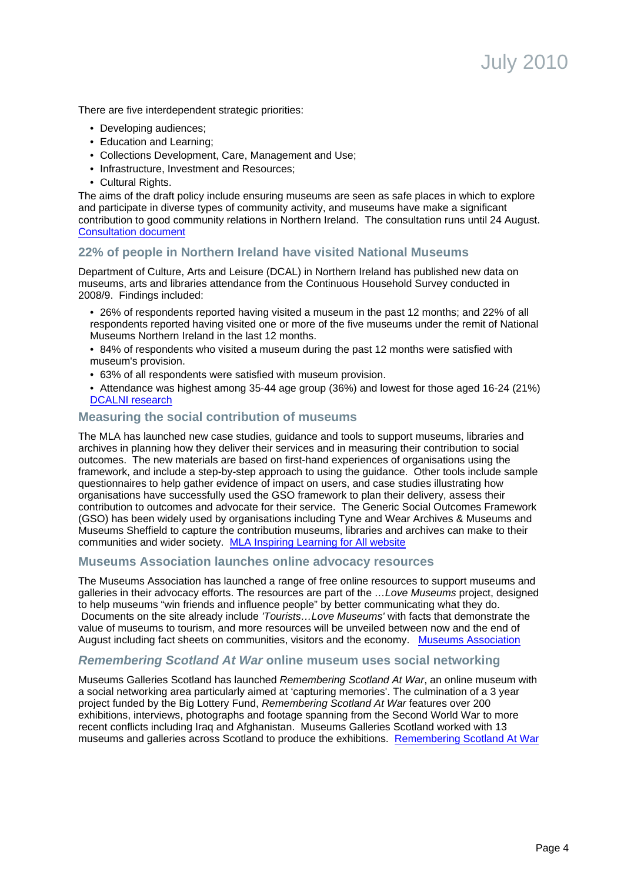There are five interdependent strategic priorities:

- Developing audiences;
- Education and Learning;
- Collections Development, Care, Management and Use;
- Infrastructure, Investment and Resources;
- Cultural Rights.

The aims of the draft policy include ensuring museums are seen as safe places in which to explore and participate in diverse types of community activity, and museums have make a significant contribution to good community relations in Northern Ireland. The consultation runs until 24 August. [Consultation document](http://www.dcalni.gov.uk/museums_policy_-_consultation_document_-_25_june_2010-2.doc)

## **22% of people in Northern Ireland have visited National Museums**

Department of Culture, Arts and Leisure (DCAL) in Northern Ireland has published new data on museums, arts and libraries attendance from the Continuous Household Survey conducted in 2008/9. Findings included:

- 26% of respondents reported having visited a museum in the past 12 months; and 22% of all respondents reported having visited one or more of the five museums under the remit of National Museums Northern Ireland in the last 12 months.
- 84% of respondents who visited a museum during the past 12 months were satisfied with museum's provision.
- 63% of all respondents were satisfied with museum provision.
- Attendance was highest among 35-44 age group (36%) and lowest for those aged 16-24 (21%) [DCALNI research](http://www.dcalni.gov.uk/index/quick-links/research_and_statistics.htm)

### **Measuring the social contribution of museums**

The MLA has launched new case studies, guidance and tools to support museums, libraries and archives in planning how they deliver their services and in measuring their contribution to social outcomes. The new materials are based on first-hand experiences of organisations using the framework, and include a step-by-step approach to using the guidance. Other tools include sample questionnaires to help gather evidence of impact on users, and case studies illustrating how organisations have successfully used the GSO framework to plan their delivery, assess their contribution to outcomes and advocate for their service. The Generic Social Outcomes Framework (GSO) has been widely used by organisations including Tyne and Wear Archives & Museums and Museums Sheffield to capture the contribution museums, libraries and archives can make to their communities and wider society. [MLA Inspiring Learning for All website](http://www.inspiringlearningforall.gov.uk/)

### **Museums Association launches online advocacy resources**

The Museums Association has launched a range of free online resources to support museums and galleries in their advocacy efforts. The resources are part of the ...Love Museums project, designed to help museums "win friends and influence people" by better communicating what they do. Documents on the site already include 'Tourists...Love Museums' with facts that demonstrate the value of museums to tourism, and more resources will be unveiled between now and the end of August including fact sheets on communities, visitors and the economy. [Museums Association](http://www.museumsassociation.org/love-museums)

### **Remembering Scotland At War online museum uses social networking**

Museums Galleries Scotland has launched Remembering Scotland At War, an online museum with a social networking area particularly aimed at 'capturing memories'. The culmination of a 3 year project funded by the Big Lottery Fund, Remembering Scotland At War features over 200 exhibitions, interviews, photographs and footage spanning from the Second World War to more recent conflicts including Iraq and Afghanistan. Museums Galleries Scotland worked with 13 museums and galleries across Scotland to produce the exhibitions. [Remembering Scotland At War](http://www.rememberingscotlandatwar.org.uk/)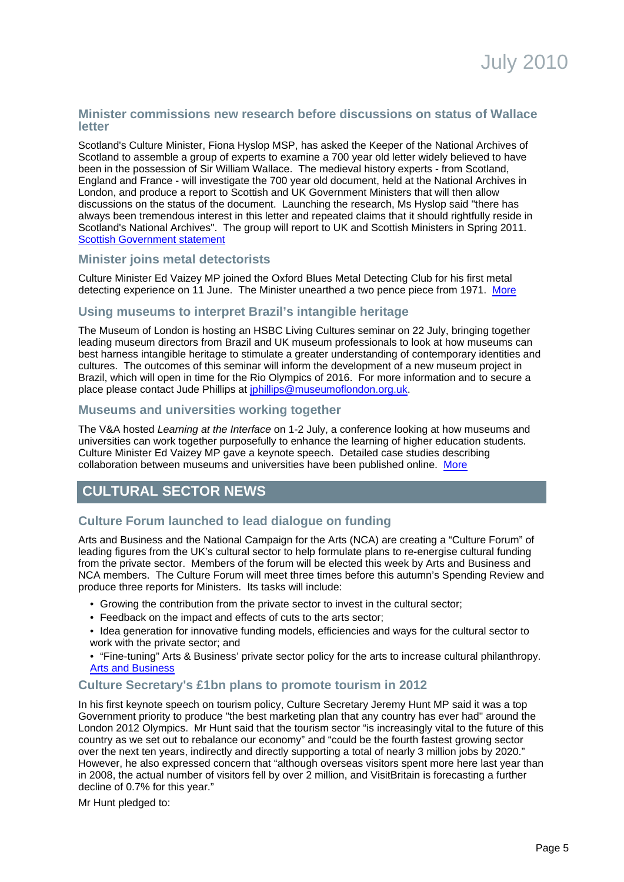### **Minister commissions new research before discussions on status of Wallace letter**

Scotland's Culture Minister, Fiona Hyslop MSP, has asked the Keeper of the National Archives of Scotland to assemble a group of experts to examine a 700 year old letter widely believed to have been in the possession of Sir William Wallace. The medieval history experts - from Scotland, England and France - will investigate the 700 year old document, held at the National Archives in London, and produce a report to Scottish and UK Government Ministers that will then allow discussions on the status of the document. Launching the research, Ms Hyslop said "there has always been tremendous interest in this letter and repeated claims that it should rightfully reside in Scotland's National Archives". The group will report to UK and Scottish Ministers in Spring 2011. [Scottish Government statement](http://www.scotland.gov.uk/News/Releases/2010/06/14081542)

### **Minister joins metal detectorists**

Culture Minister Ed Vaizey MP joined the Oxford Blues Metal Detecting Club for his first metal detecting experience on 11 June. The Minister unearthed a two pence piece from 1971.[More](http://oxfordbluesmdc.co.uk/wordpress/2010/06/mp-becomes-a-club-member/#more-1215)

### **Using museums to interpret Brazil's intangible heritage**

The Museum of London is hosting an HSBC Living Cultures seminar on 22 July, bringing together leading museum directors from Brazil and UK museum professionals to look at how museums can best harness intangible heritage to stimulate a greater understanding of contemporary identities and cultures. The outcomes of this seminar will inform the development of a new museum project in Brazil, which will open in time for the Rio Olympics of 2016. For more information and to secure a place please contact Jude Phillips at [jphillips@museumoflondon.org.uk.](mailto:jphillips@musuemoflondon.org.uk)

#### **Museums and universities working together**

The V&A hosted Learning at the Interface on 1-2 July, a conference looking at how museums and universities can work together purposefully to enhance the learning of higher education students. Culture Minister Ed Vaizey MP gave a keynote speech. Detailed case studies describing collaboration between museums and universities have been published online. [More](http://arts.brighton.ac.uk/research/cetld/learning-at-the-interface-museum-and-university-collaborations-conference-1-2-july-2010)

# **CULTURAL SECTOR NEWS**

## **Culture Forum launched to lead dialogue on funding**

Arts and Business and the National Campaign for the Arts (NCA) are creating a "Culture Forum" of leading figures from the UK's cultural sector to help formulate plans to re-energise cultural funding from the private sector. Members of the forum will be elected this week by Arts and Business and NCA members. The Culture Forum will meet three times before this autumn's Spending Review and produce three reports for Ministers. Its tasks will include:

- Growing the contribution from the private sector to invest in the cultural sector;
- Feedback on the impact and effects of cuts to the arts sector;
- Idea generation for innovative funding models, efficiencies and ways for the cultural sector to work with the private sector; and
- "Fine-tuning" Arts & Business' private sector policy for the arts to increase cultural philanthropy. [Arts and Business](http://www.artsandbusiness.org.uk/News/2010/june/cultural-forum-become-a-candidate.aspx)

### <span id="page-4-0"></span>**Culture Secretary's £1bn plans to promote tourism in 2012**

In his first keynote speech on tourism policy, Culture Secretary Jeremy Hunt MP said it was a top Government priority to produce "the best marketing plan that any country has ever had" around the London 2012 Olympics. Mr Hunt said that the tourism sector "is increasingly vital to the future of this country as we set out to rebalance our economy" and "could be the fourth fastest growing sector over the next ten years, indirectly and directly supporting a total of nearly 3 million jobs by 2020." However, he also expressed concern that "although overseas visitors spent more here last year than in 2008, the actual number of visitors fell by over 2 million, and VisitBritain is forecasting a further decline of 0.7% for this year."

Mr Hunt pledged to: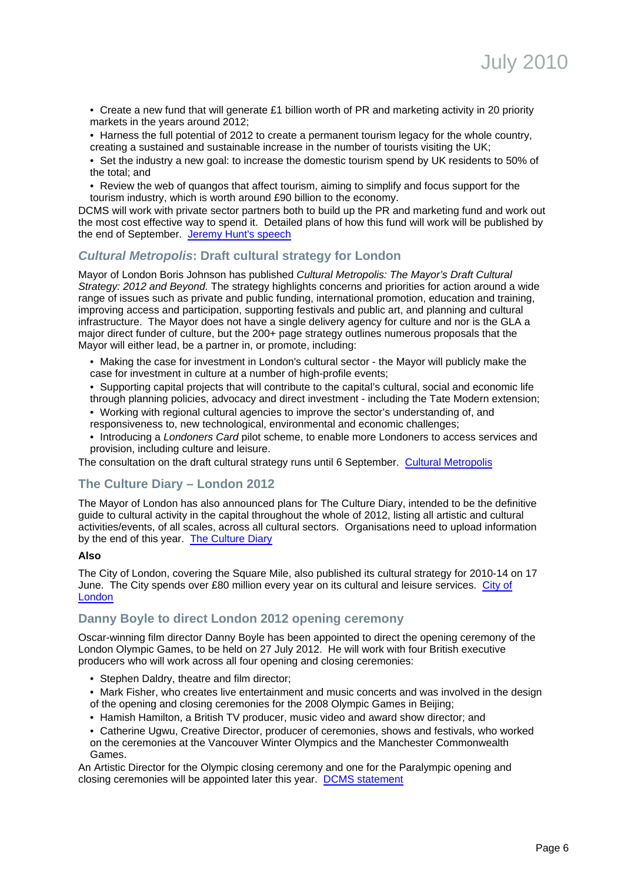- Create a new fund that will generate £1 billion worth of PR and marketing activity in 20 priority markets in the years around 2012;
- Harness the full potential of 2012 to create a permanent tourism legacy for the whole country, creating a sustained and sustainable increase in the number of tourists visiting the UK;

• Set the industry a new goal: to increase the domestic tourism spend by UK residents to 50% of the total; and

• Review the web of quangos that affect tourism, aiming to simplify and focus support for the tourism industry, which is worth around £90 billion to the economy.

DCMS will work with private sector partners both to build up the PR and marketing fund and work out the most cost effective way to spend it. Detailed plans of how this fund will work will be published by the end of September. [Jeremy Hunt's speech](http://www.culture.gov.uk/news/ministers_speeches/7162.aspx)

### **Cultural Metropolis: Draft cultural strategy for London**

Mayor of London Boris Johnson has published Cultural Metropolis: The Mayor's Draft Cultural Strategy: 2012 and Beyond. The strategy highlights concerns and priorities for action around a wide range of issues such as private and public funding, international promotion, education and training, improving access and participation, supporting festivals and public art, and planning and cultural infrastructure. The Mayor does not have a single delivery agency for culture and nor is the GLA a major direct funder of culture, but the 200+ page strategy outlines numerous proposals that the Mayor will either lead, be a partner in, or promote, including:

- Making the case for investment in London's cultural sector the Mayor will publicly make the case for investment in culture at a number of high-profile events;
- Supporting capital projects that will contribute to the capital's cultural, social and economic life through planning policies, advocacy and direct investment - including the Tate Modern extension;
- Working with regional cultural agencies to improve the sector's understanding of, and responsiveness to, new technological, environmental and economic challenges;
- Introducing a Londoners Card pilot scheme, to enable more Londoners to access services and provision, including culture and leisure.

The consultation on the draft cultural strategy runs until 6 September. [Cultural Metropolis](http://www.london.gov.uk/get-involved/consultations/current-consultations/cultural-strategy)

### **The Culture Diary – London 2012**

The Mayor of London has also announced plans for The Culture Diary, intended to be the definitive guide to cultural activity in the capital throughout the whole of 2012, listing all artistic and cultural activities/events, of all scales, across all cultural sectors. Organisations need to upload information by the end of this year. [The Culture Diary](http://www.theculturediary.com/)

#### **Also**

The City of London, covering the Square Mile, also published its cultural strategy for 2010-14 on 17 June. The City spends over £80 million every year on its cultural and leisure services. [City of](http://www.cityoflondon.gov.uk/Corporation/LGNL_Services/Leisure_and_culture/) [London](http://www.cityoflondon.gov.uk/Corporation/LGNL_Services/Leisure_and_culture/)

## **Danny Boyle to direct London 2012 opening ceremony**

Oscar-winning film director Danny Boyle has been appointed to direct the opening ceremony of the London Olympic Games, to be held on 27 July 2012. He will work with four British executive producers who will work across all four opening and closing ceremonies:

- Stephen Daldry, theatre and film director;
- Mark Fisher, who creates live entertainment and music concerts and was involved in the design of the opening and closing ceremonies for the 2008 Olympic Games in Beijing;
- Hamish Hamilton, a British TV producer, music video and award show director; and
- Catherine Ugwu, Creative Director, producer of ceremonies, shows and festivals, who worked on the ceremonies at the Vancouver Winter Olympics and the Manchester Commonwealth Games.

An Artistic Director for the Olympic closing ceremony and one for the Paralympic opening and closing ceremonies will be appointed later this year. [DCMS statement](http://www.culture.gov.uk/news/news_stories/7199.aspx)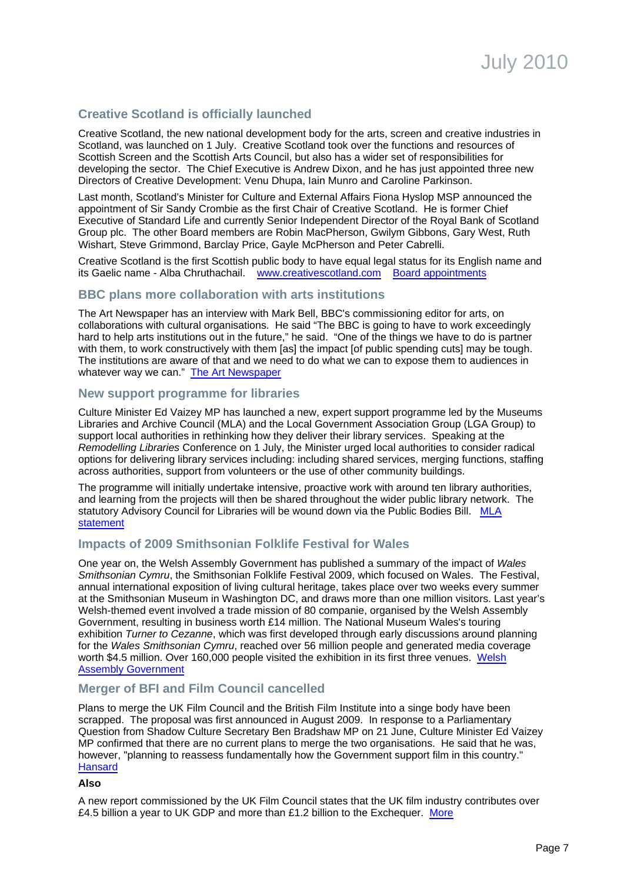## **Creative Scotland is officially launched**

Creative Scotland, the new national development body for the arts, screen and creative industries in Scotland, was launched on 1 July. Creative Scotland took over the functions and resources of Scottish Screen and the Scottish Arts Council, but also has a wider set of responsibilities for developing the sector. The Chief Executive is Andrew Dixon, and he has just appointed three new Directors of Creative Development: Venu Dhupa, Iain Munro and Caroline Parkinson.

Last month, Scotland's Minister for Culture and External Affairs Fiona Hyslop MSP announced the appointment of Sir Sandy Crombie as the first Chair of Creative Scotland. He is former Chief Executive of Standard Life and currently Senior Independent Director of the Royal Bank of Scotland Group plc. The other Board members are Robin MacPherson, Gwilym Gibbons, Gary West, Ruth Wishart, Steve Grimmond, Barclay Price, Gayle McPherson and Peter Cabrelli.

Creative Scotland is the first Scottish public body to have equal legal status for its English name and its Gaelic name - Alba Chruthachail. [www.creativescotland.com](http://www.creativescotland.com/) [Board appointments](http://www.scotland.gov.uk/News/Releases/2010/06/11110303)

### **BBC plans more collaboration with arts institutions**

The Art Newspaper has an interview with Mark Bell, BBC's commissioning editor for arts, on collaborations with cultural organisations. He said "The BBC is going to have to work exceedingly hard to help arts institutions out in the future," he said. "One of the things we have to do is partner with them, to work constructively with them [as] the impact [of public spending cuts] may be tough. The institutions are aware of that and we need to do what we can to expose them to audiences in whatever way we can."[The Art Newspaper](http://www.theartnewspaper.com/articles/Arts-programming-at-the-BBC:-behind-the-scenes/20995)

### **New support programme for libraries**

Culture Minister Ed Vaizey MP has launched a new, expert support programme led by the Museums Libraries and Archive Council (MLA) and the Local Government Association Group (LGA Group) to support local authorities in rethinking how they deliver their library services. Speaking at the Remodelling Libraries Conference on 1 July, the Minister urged local authorities to consider radical options for delivering library services including: including shared services, merging functions, staffing across authorities, support from volunteers or the use of other community buildings.

The programme will initially undertake intensive, proactive work with around ten library authorities, and learning from the projects will then be shared throughout the wider public library network. The statutory Advisory Council for Libraries will be wound down via the Public Bodies Bill. [MLA](http://www.mla.gov.uk/news_and_views/press_releases/2010/Culture_minister_launches_support_programme_for_libraries) [statement](http://www.mla.gov.uk/news_and_views/press_releases/2010/Culture_minister_launches_support_programme_for_libraries)

### **Impacts of 2009 Smithsonian Folklife Festival for Wales**

One year on, the Welsh Assembly Government has published a summary of the impact of Wales Smithsonian Cymru, the Smithsonian Folklife Festival 2009, which focused on Wales. The Festival, annual international exposition of living cultural heritage, takes place over two weeks every summer at the Smithsonian Museum in Washington DC, and draws more than one million visitors. Last year's Welsh-themed event involved a trade mission of 80 companie, organised by the Welsh Assembly Government, resulting in business worth £14 million. The National Museum Wales's touring exhibition Turner to Cezanne, which was first developed through early discussions around planning for the Wales Smithsonian Cymru, reached over 56 million people and generated media coverage worth \$4.5 million. Over 160,000 people visited the exhibition in its first three venues. [Welsh](http://wales.gov.uk/newsroom/cultureandsport/2010/100702smithsonian/?lang=en) [Assembly Government](http://wales.gov.uk/newsroom/cultureandsport/2010/100702smithsonian/?lang=en)

### **Merger of BFI and Film Council cancelled**

Plans to merge the UK Film Council and the British Film Institute into a singe body have been scrapped. The proposal was first announced in August 2009. In response to a Parliamentary Question from Shadow Culture Secretary Ben Bradshaw MP on 21 June, Culture Minister Ed Vaizey MP confirmed that there are no current plans to merge the two organisations. He said that he was, however, "planning to reassess fundamentally how the Government support film in this country." **[Hansard](http://www.publications.parliament.uk/pa/cm201011/cmhansrd/cm100621/text/100621w0004.htm#10062116000044)** 

#### **Also**

A new report commissioned by the UK Film Council states that the UK film industry contributes over £4.5 billion a year to UK GDP and more than £1.2 billion to the Exchequer. [More](http://www.ukfilmcouncil.org.uk/news?show=16830&page=1&step=10)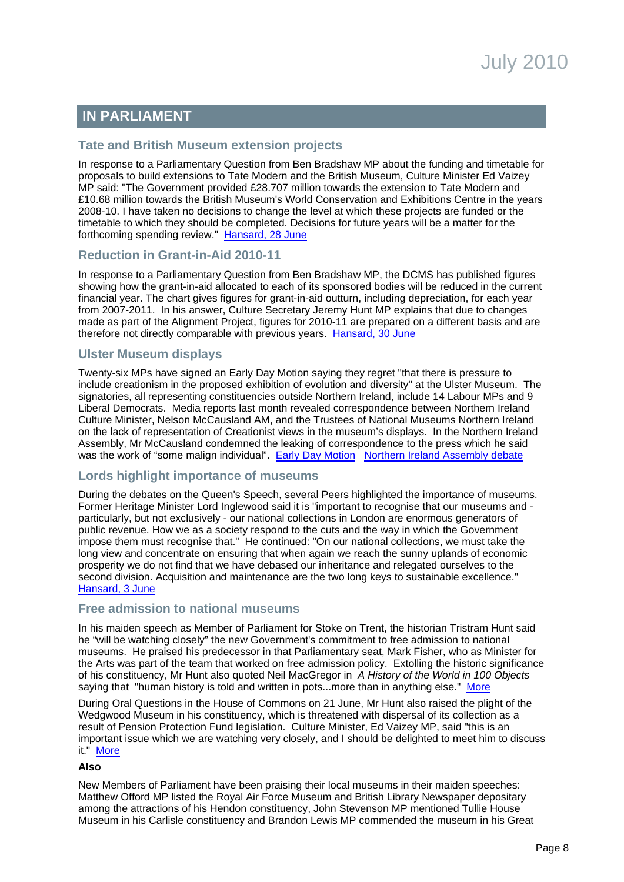# **IN PARLIAMENT**

### **Tate and British Museum extension projects**

In response to a Parliamentary Question from Ben Bradshaw MP about the funding and timetable for proposals to build extensions to Tate Modern and the British Museum, Culture Minister Ed Vaizey MP said: "The Government provided £28.707 million towards the extension to Tate Modern and £10.68 million towards the British Museum's World Conservation and Exhibitions Centre in the years 2008-10. I have taken no decisions to change the level at which these projects are funded or the timetable to which they should be completed. Decisions for future years will be a matter for the forthcoming spending review." [Hansard, 28 June](http://www.publications.parliament.uk/pa/cm201011/cmhansrd/cm100628/text/100628w0004.htm#10062813000314)

### **Reduction in Grant-in-Aid 2010-11**

In response to a Parliamentary Question from Ben Bradshaw MP, the DCMS has published figures showing how the grant-in-aid allocated to each of its sponsored bodies will be reduced in the current financial year. The chart gives figures for grant-in-aid outturn, including depreciation, for each year from 2007-2011. In his answer, Culture Secretary Jeremy Hunt MP explains that due to changes made as part of the Alignment Project, figures for 2010-11 are prepared on a different basis and are therefore not directly comparable with previous years. [Hansard, 30 June](http://www.publications.parliament.uk/pa/cm201011/cmhansrd/cm100630/text/100630w0001.htm#10063037000161)

## **Ulster Museum displays**

Twenty-six MPs have signed an Early Day Motion saying they regret "that there is pressure to include creationism in the proposed exhibition of evolution and diversity" at the Ulster Museum. The signatories, all representing constituencies outside Northern Ireland, include 14 Labour MPs and 9 Liberal Democrats. Media reports last month revealed correspondence between Northern Ireland Culture Minister, Nelson McCausland AM, and the Trustees of National Museums Northern Ireland on the lack of representation of Creationist views in the museum's displays. In the Northern Ireland Assembly, Mr McCausland condemned the leaking of correspondence to the press which he said was the work of "some malign individual". [Early Day Motion](http://edmi.parliament.uk/EDMi/EDMDetails.aspx?EDMID=41108&SESSION=905) [Northern Ireland Assembly debate](http://www.theyworkforyou.com/ni/?id=2010-06-01.7.20&s=museum#g7.27)

### **Lords highlight importance of museums**

During the debates on the Queen's Speech, several Peers highlighted the importance of museums. Former Heritage Minister Lord Inglewood said it is "important to recognise that our museums and particularly, but not exclusively - our national collections in London are enormous generators of public revenue. How we as a society respond to the cuts and the way in which the Government impose them must recognise that." He continued: "On our national collections, we must take the long view and concentrate on ensuring that when again we reach the sunny uplands of economic prosperity we do not find that we have debased our inheritance and relegated ourselves to the second division. Acquisition and maintenance are the two long keys to sustainable excellence." [Hansard, 3 June](http://www.theyworkforyou.com/lords/?gid=2010-06-03a.467.0)

### **Free admission to national museums**

In his maiden speech as Member of Parliament for Stoke on Trent, the historian Tristram Hunt said he "will be watching closely" the new Government's commitment to free admission to national museums. He praised his predecessor in that Parliamentary seat, Mark Fisher, who as Minister for the Arts was part of the team that worked on free admission policy. Extolling the historic significance of his constituency, Mr Hunt also quoted Neil MacGregor in A History of the World in 100 Objects saying that "human history is told and written in pots...more than in anything else." [More](http://www.theyworkforyou.com/debate/?id=2010-06-07c.64.0)

During Oral Questions in the House of Commons on 21 June, Mr Hunt also raised the plight of the Wedgwood Museum in his constituency, which is threatened with dispersal of its collection as a result of Pension Protection Fund legislation. Culture Minister, Ed Vaizey MP, said "this is an important issue which we are watching very closely, and I should be delighted to meet him to discuss it." [More](http://www.publications.parliament.uk/pa/cm201011/cmhansrd/cm100621/debtext/100621-0002.htm#1006219000549)

#### **Also**

New Members of Parliament have been praising their local museums in their maiden speeches: Matthew Offord MP listed the Royal Air Force Museum and British Library Newspaper depositary among the attractions of his Hendon constituency, John Stevenson MP mentioned Tullie House Museum in his Carlisle constituency and Brandon Lewis MP commended the museum in his Great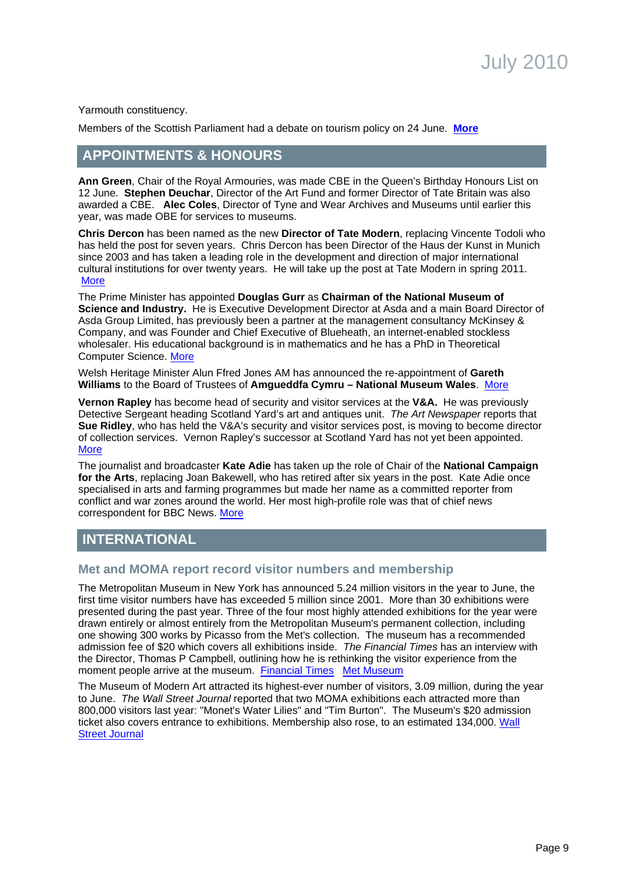Yarmouth constituency.

Members of the Scottish Parliament had a debate on tourism policy on 24 June. **[More](http://www.scottish.parliament.uk/business/officialReports/meetingsParliament/or-10/sor0624-02.htm#Col27677)** 

# **APPOINTMENTS & HONOURS**

**Ann Green**, Chair of the Royal Armouries, was made CBE in the Queen's Birthday Honours List on 12 June. **Stephen Deuchar**, Director of the Art Fund and former Director of Tate Britain was also awarded a CBE. **Alec Coles**, Director of Tyne and Wear Archives and Museums until earlier this year, was made OBE for services to museums.

**Chris Dercon** has been named as the new **Director of Tate Modern**, replacing Vincente Todoli who has held the post for seven years. Chris Dercon has been Director of the Haus der Kunst in Munich since 2003 and has taken a leading role in the development and direction of major international cultural institutions for over twenty years. He will take up the post at Tate Modern in spring 2011. **[More](http://www.tate.org.uk/about/pressoffice/pressreleases/2010/22053.htm)** 

The Prime Minister has appointed **Douglas Gurr** as **Chairman of the National Museum of Science and Industry.** He is Executive Development Director at Asda and a main Board Director of Asda Group Limited, has previously been a partner at the management consultancy McKinsey & Company, and was Founder and Chief Executive of Blueheath, an internet-enabled stockless wholesaler. His educational background is in mathematics and he has a PhD in Theoretical Computer Science. [More](http://www.number10.gov.uk/news/press-notices/2010/06/douglas-gurr-appointed-as-chairman-to-the-board-of-the-national-museum-of-science-and-industry-52422)

Welsh Heritage Minister Alun Ffred Jones AM has announced the re-appointment of **Gareth Williams** to the Board of Trustees of **Amgueddfa Cymru – National Museum Wales**. [More](http://wales.gov.uk/newsroom/cultureandsport/2010/100526reappointment/?lang=en)

**Vernon Rapley** has become head of security and visitor services at the **V&A.** He was previously Detective Sergeant heading Scotland Yard's art and antiques unit. The Art Newspaper reports that **Sue Ridley**, who has held the V&A's security and visitor services post, is moving to become director of collection services. Vernon Rapley's successor at Scotland Yard has not yet been appointed. [More](http://www.theartnewspaper.com/articles/V&A-gets-its-own-personal-detective/21044)

The journalist and broadcaster **Kate Adie** has taken up the role of Chair of the **National Campaign for the Arts**, replacing Joan Bakewell, who has retired after six years in the post. Kate Adie once specialised in arts and farming programmes but made her name as a committed reporter from conflict and war zones around the world. Her most high-profile role was that of chief news correspondent for BBC News. [More](http://www.artscampaign.org.uk/) 

## <span id="page-8-0"></span>**INTERNATIONAL**

### **Met and MOMA report record visitor numbers and membership**

The Metropolitan Museum in New York has announced 5.24 million visitors in the year to June, the first time visitor numbers have has exceeded 5 million since 2001. More than 30 exhibitions were presented during the past year. Three of the four most highly attended exhibitions for the year were drawn entirely or almost entirely from the Metropolitan Museum's permanent collection, including one showing 300 works by Picasso from the Met's collection. The museum has a recommended admission fee of \$20 which covers all exhibitions inside. The Financial Times has an interview with the Director, Thomas P Campbell, outlining how he is rethinking the visitor experience from the moment people arrive at the museum. [Financial Times](http://www.ft.com/cms/s/2/d76a72ba-7fdf-11df-91b4-00144feabdc0.html) [Met Museum](http://www.metmuseum.org/press_room/full_release.asp?prid=%7b7D5F61D5-8AE6-4A0A-8A04-BDB5A38E494B%7d)

The Museum of Modern Art attracted its highest-ever number of visitors, 3.09 million, during the year to June. The Wall Street Journal reported that two MOMA exhibitions each attracted more than 800,000 visitors last year: "Monet's Water Lilies" and "Tim Burton". The Museum's \$20 admission ticket also covers entrance to exhibitions. Membership also rose, to an estimated 134,000. [Wall](http://online.wsj.com/article/SB10001424052748703964104575335301840480246.html?mod=WSJ_NY_Culture_LEFTTopStories) [Street Journal](http://online.wsj.com/article/SB10001424052748703964104575335301840480246.html?mod=WSJ_NY_Culture_LEFTTopStories)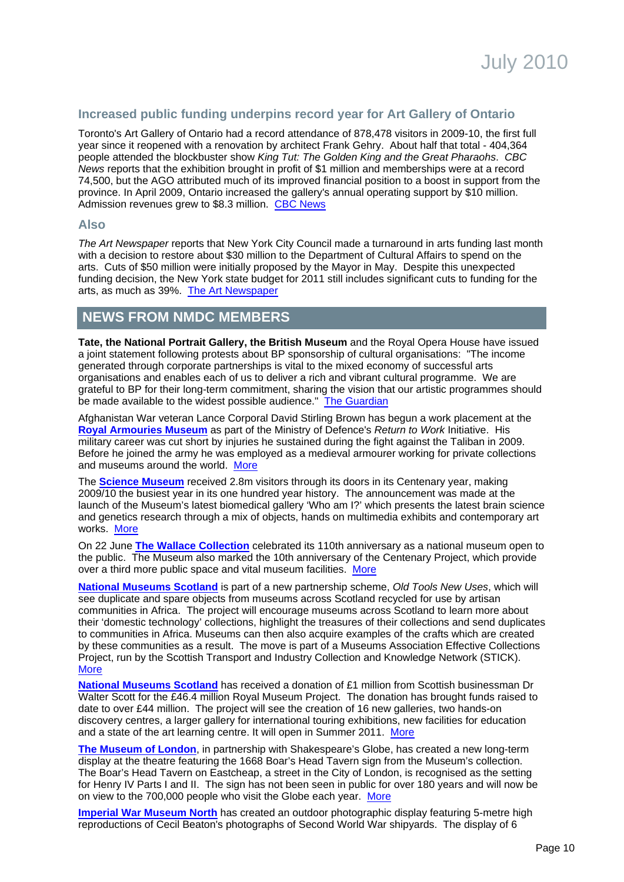## **Increased public funding underpins record year for Art Gallery of Ontario**

Toronto's Art Gallery of Ontario had a record attendance of 878,478 visitors in 2009-10, the first full year since it reopened with a renovation by architect Frank Gehry. About half that total - 404,364 people attended the blockbuster show King Tut: The Golden King and the Great Pharaohs. CBC News reports that the exhibition brought in profit of \$1 million and memberships were at a record 74,500, but the AGO attributed much of its improved financial position to a boost in support from the province. In April 2009, Ontario increased the gallery's annual operating support by \$10 million. Admission revenues grew to \$8.3 million. [CBC News](http://www.cbc.ca/arts/artdesign/story/2010/06/24/art-gallery-agm.html?ref=rss#ixzz0rrd3QKs5)

#### **Also**

The Art Newspaper reports that New York City Council made a turnaround in arts funding last month with a decision to restore about \$30 million to the Department of Cultural Affairs to spend on the arts. Cuts of \$50 million were initially proposed by the Mayor in May. Despite this unexpected funding decision, the New York state budget for 2011 still includes significant cuts to funding for the arts, as much as 39%. [The Art Newspaper](http://www.theartnewspaper.com/articles/New-York-City-Council-restores-funding-to-the-arts/21103)

## **NEWS FROM NMDC MEMBERS**

**Tate, the National Portrait Gallery, the British Museum** and the Royal Opera House have issued a joint statement following protests about BP sponsorship of cultural organisations: "The income generated through corporate partnerships is vital to the mixed economy of successful arts organisations and enables each of us to deliver a rich and vibrant cultural programme. We are grateful to BP for their long-term commitment, sharing the vision that our artistic programmes should be made available to the widest possible audience." [The Guardian](http://www.guardian.co.uk/environment/2010/jun/24/galleries-museums-summer-protest-bp-arts-sponsorship)

Afghanistan War veteran Lance Corporal David Stirling Brown has begun a work placement at the **[Royal Armouries Museum](http://www.royalarmouries.org/)** as part of the Ministry of Defence's Return to Work Initiative. His military career was cut short by injuries he sustained during the fight against the Taliban in 2009. Before he joined the army he was employed as a medieval armourer working for private collections and museums around the world. [More](http://www.royalarmouries.org/what-we-do/press/war-veteran-to-take-up-post-up-at-the-royal-armouries)

The **[Science Museum](http://www.sciencemuseum.org.uk/)** received 2.8m visitors through its doors in its Centenary year, making 2009/10 the busiest year in its one hundred year history. The announcement was made at the launch of the Museum's latest biomedical gallery 'Who am I?' which presents the latest brain science and genetics research through a mix of objects, hands on multimedia exhibits and contemporary art works. [More](http://www.sciencemuseum.org.uk/about_us/press_and_media/press_releases/2010/06/Who%20am%20I%20launch.aspx) 

On 22 June **[The Wallace Collection](http://www.wallacecollection.org/)** celebrated its 110th anniversary as a national museum open to the public. The Museum also marked the 10th anniversary of the Centenary Project, which provide over a third more public space and vital museum facilities. [More](http://www.wallacecollection.org/)

**[National Museums Scotland](http://www.nms.ac.uk/)** is part of a new partnership scheme, Old Tools New Uses, which will see duplicate and spare objects from museums across Scotland recycled for use by artisan communities in Africa. The project will encourage museums across Scotland to learn more about their 'domestic technology' collections, highlight the treasures of their collections and send duplicates to communities in Africa. Museums can then also acquire examples of the crafts which are created by these communities as a result. The move is part of a Museums Association Effective Collections Project, run by the Scottish Transport and Industry Collection and Knowledge Network (STICK). **[More](http://www.nms.ac.uk/about_us/about_us/press_office/press_releases/2010/new_scheme_for_sewing_machines.aspx)** 

**[National Museums Scotland](http://www.nms.ac.uk/)** has received a donation of £1 million from Scottish businessman Dr Walter Scott for the £46.4 million Royal Museum Project. The donation has brought funds raised to date to over £44 million. The project will see the creation of 16 new galleries, two hands-on discovery centres, a larger gallery for international touring exhibitions, new facilities for education and a state of the art learning centre. It will open in Summer 2011. [More](http://www.nms.ac.uk/about_us/about_us/press_office/press_releases/2010/major_gift_for_royal_museum.aspx)

**[The Museum of London](http://www.museumoflondon.org.uk/)**, in partnership with Shakespeare's Globe, has created a new long-term display at the theatre featuring the 1668 Boar's Head Tavern sign from the Museum's collection. The Boar's Head Tavern on Eastcheap, a street in the City of London, is recognised as the setting for Henry IV Parts I and II. The sign has not been seen in public for over 180 years and will now be on view to the 700,000 people who visit the Globe each year.[More](http://www.museumoflondon.org.uk/)

**[Imperial War Museum North](http://www.iwm.org.uk/north)** has created an outdoor photographic display featuring 5-metre high reproductions of Cecil Beaton's photographs of Second World War shipyards. The display of 6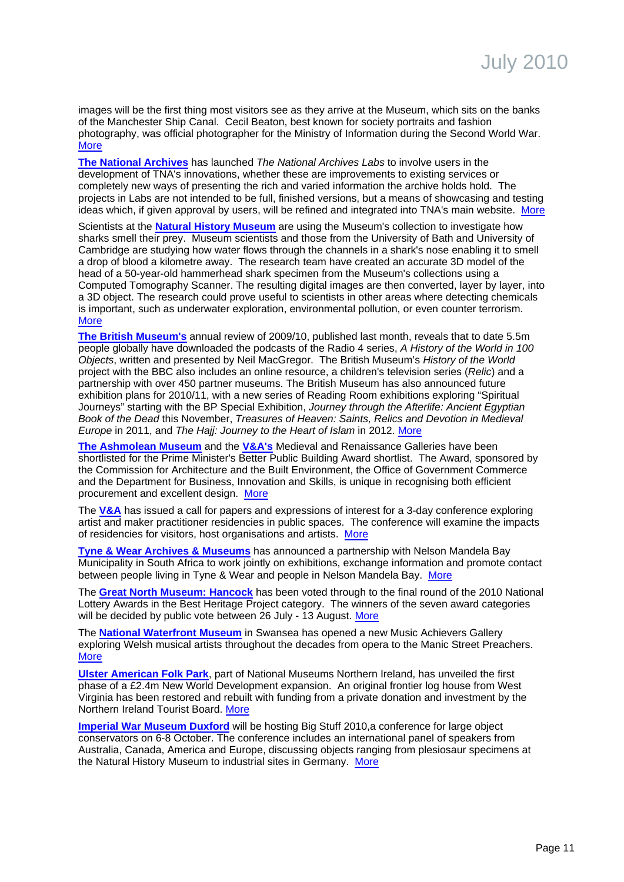images will be the first thing most visitors see as they arrive at the Museum, which sits on the banks of the Manchester Ship Canal. Cecil Beaton, best known for society portraits and fashion photography, was official photographer for the Ministry of Information during the Second World War. **[More](http://www.iwm.org.uk/north)** 

**[The National Archives](http://www.nationalarchives.gov.uk/)** has launched The National Archives Labs to involve users in the development of TNA's innovations, whether these are improvements to existing services or completely new ways of presenting the rich and varied information the archive holds hold. The projects in Labs are not intended to be full, finished versions, but a means of showcasing and testing ideas which, if given approval by users, will be refined and integrated into TNA's main website. [More](http://www.nationalarchives.gov.uk/news/468.htm)

Scientists at the **[Natural History Museum](http://www.nhm.ac.uk/)** are using the Museum's collection to investigate how sharks smell their prey. Museum scientists and those from the University of Bath and University of Cambridge are studying how water flows through the channels in a shark's nose enabling it to smell a drop of blood a kilometre away. The research team have created an accurate 3D model of the head of a 50-year-old hammerhead shark specimen from the Museum's collections using a Computed Tomography Scanner. The resulting digital images are then converted, layer by layer, into a 3D object. The research could prove useful to scientists in other areas where detecting chemicals is important, such as underwater exploration, environmental pollution, or even counter terrorism. **[More](http://www.nhm.ac.uk/about-us/news/2010/june/museum-shark-helps-investigate-smell69549.html)** 

**[The British Museum's](http://www.britishmuseum.org/)** annual review of 2009/10, published last month, reveals that to date 5.5m people globally have downloaded the podcasts of the Radio 4 series, A History of the World in 100 Objects, written and presented by Neil MacGregor. The British Museum's History of the World project with the BBC also includes an online resource, a children's television series (Relic) and a partnership with over 450 partner museums. The British Museum has also announced future exhibition plans for 2010/11, with a new series of Reading Room exhibitions exploring "Spiritual Journeys" starting with the BP Special Exhibition, Journey through the Afterlife: Ancient Egyptian Book of the Dead this November, Treasures of Heaven: Saints, Relics and Devotion in Medieval Europe in 2011, and The Hajj: Journey to the Heart of Islam in 2012. [More](http://www.britishmuseum.org/the_museum/news_and_press_releases/press_releases/2010/annual_review.aspx)

**[The Ashmolean Museum](http://www.ashmolean.org/)** and the **[V&A's](http://www.vam.ac.uk/)** Medieval and Renaissance Galleries have been shortlisted for the Prime Minister's Better Public Building Award shortlist. The Award, sponsored by the Commission for Architecture and the Built Environment, the Office of Government Commerce and the Department for Business, Innovation and Skills, is unique in recognising both efficient procurement and excellent design. [More](http://www.culture.gov.uk/news/news_stories/7185.aspx)

The **[V&A](http://www.vam.ac.uk/)** has issued a call for papers and expressions of interest for a 3-day conference exploring artist and maker practitioner residencies in public spaces. The conference will examine the impacts of residencies for visitors, host organisations and artists. [More](http://www.vam.ac.uk/activ_events/courses/conferences/index.html)

**[Tyne & Wear Archives & Museums](http://www.twmuseums.org.uk/)** has announced a partnership with Nelson Mandela Bay Municipality in South Africa to work jointly on exhibitions, exchange information and promote contact between people living in Tyne & Wear and people in Nelson Mandela Bay. [More](http://www.twmuseums.org.uk/news/partnership-with-south-africa/)

The **[Great North Museum: Hancock](http://www.twmuseums.org.uk/)** has been voted through to the final round of the 2010 National Lottery Awards in the Best Heritage Project category. The winners of the seven award categories will be decided by public vote between 26 July - 13 August. [More](http://www.lotterygoodcauses.org.uk/awards/)

The **[National Waterfront Museum](http://www.museumwales.ac.uk/)** in Swansea has opened a new Music Achievers Gallery exploring Welsh musical artists throughout the decades from opera to the Manic Street Preachers. [More](http://www.museumwales.ac.uk/en/5/?article_id=603)

**[Ulster American Folk Park](http://www.nmni.com/)**, part of National Museums Northern Ireland, has unveiled the first phase of a £2.4m New World Development expansion. An original frontier log house from West Virginia has been restored and rebuilt with funding from a private donation and investment by the Northern Ireland Tourist Board. [More](http://www.nmni.com/Home/News/McCallister-House-takes-residence-at-Ulster-Americ)

**[Imperial War Museum Duxford](http://www.iwm.org.uk/)** will be hosting Big Stuff 2010,a conference for large object conservators on 6-8 October. The conference includes an international panel of speakers from Australia, Canada, America and Europe, discussing objects ranging from plesiosaur specimens at the Natural History Museum to industrial sites in Germany. [More](http://www.iwm.org.uk/)